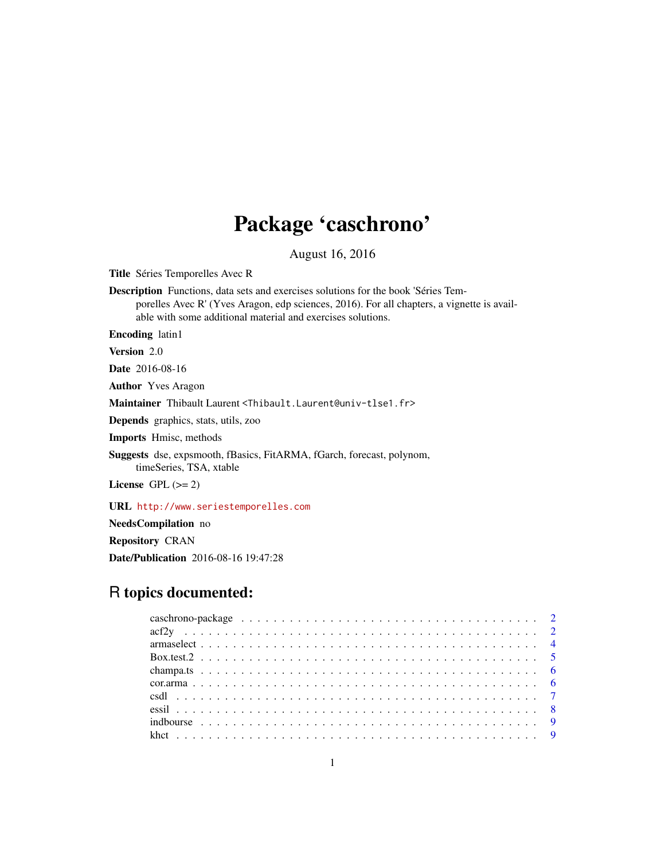## Package 'caschrono'

August 16, 2016

Title Séries Temporelles Avec R

Description Functions, data sets and exercises solutions for the book 'Séries Temporelles Avec R' (Yves Aragon, edp sciences, 2016). For all chapters, a vignette is available with some additional material and exercises solutions.

Encoding latin1

Version 2.0

Date 2016-08-16

Author Yves Aragon

Maintainer Thibault Laurent <Thibault.Laurent@univ-tlse1.fr>

Depends graphics, stats, utils, zoo

Imports Hmisc, methods

Suggests dse, expsmooth, fBasics, FitARMA, fGarch, forecast, polynom, timeSeries, TSA, xtable

License GPL  $(>= 2)$ 

URL <http://www.seriestemporelles.com>

NeedsCompilation no

Repository CRAN

Date/Publication 2016-08-16 19:47:28

## R topics documented: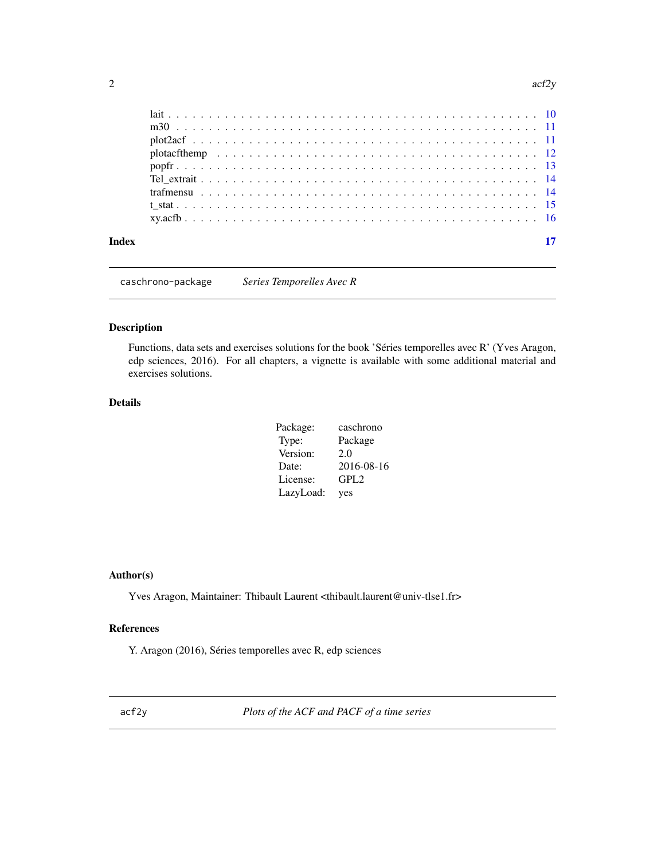<span id="page-1-0"></span>

| Index |  |  |  |  |  |  |  |  |  |  |  |  |  |  |  |  | 17 |
|-------|--|--|--|--|--|--|--|--|--|--|--|--|--|--|--|--|----|
|       |  |  |  |  |  |  |  |  |  |  |  |  |  |  |  |  |    |
|       |  |  |  |  |  |  |  |  |  |  |  |  |  |  |  |  |    |
|       |  |  |  |  |  |  |  |  |  |  |  |  |  |  |  |  |    |
|       |  |  |  |  |  |  |  |  |  |  |  |  |  |  |  |  |    |
|       |  |  |  |  |  |  |  |  |  |  |  |  |  |  |  |  |    |
|       |  |  |  |  |  |  |  |  |  |  |  |  |  |  |  |  |    |
|       |  |  |  |  |  |  |  |  |  |  |  |  |  |  |  |  |    |
|       |  |  |  |  |  |  |  |  |  |  |  |  |  |  |  |  |    |
|       |  |  |  |  |  |  |  |  |  |  |  |  |  |  |  |  |    |

caschrono-package *Series Temporelles Avec R*

## Description

Functions, data sets and exercises solutions for the book 'Séries temporelles avec R' (Yves Aragon, edp sciences, 2016). For all chapters, a vignette is available with some additional material and exercises solutions.

## Details

| Package:  | caschrono        |
|-----------|------------------|
| Type:     | Package          |
| Version:  | 2.0              |
| Date:     | 2016-08-16       |
| License:  | GPL <sub>2</sub> |
| LazyLoad: | yes              |

## Author(s)

Yves Aragon, Maintainer: Thibault Laurent <thibault.laurent@univ-tlse1.fr>

## References

Y. Aragon (2016), Séries temporelles avec R, edp sciences

<span id="page-1-1"></span>acf2y *Plots of the ACF and PACF of a time series*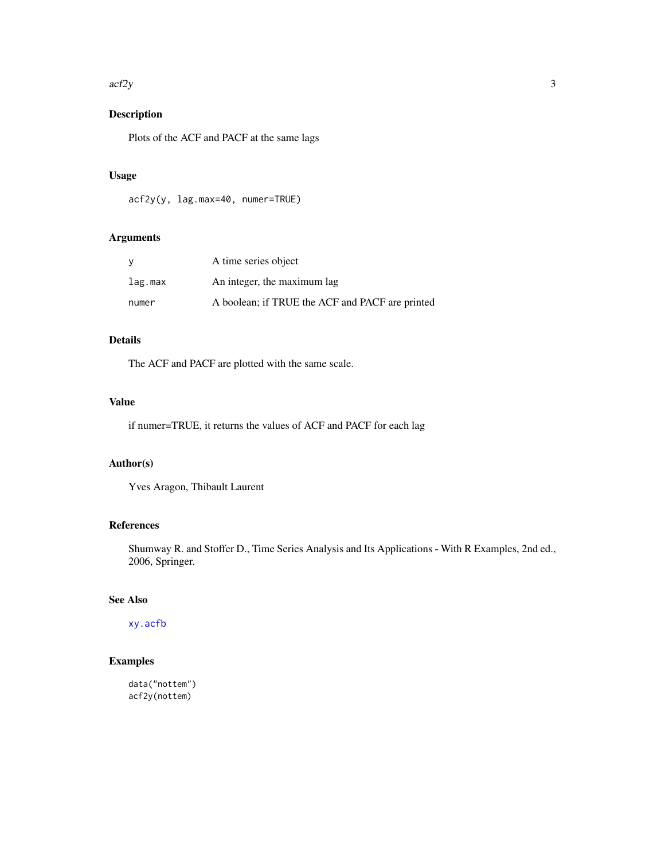#### <span id="page-2-0"></span> $\arctan 3$

## Description

Plots of the ACF and PACF at the same lags

## Usage

acf2y(y, lag.max=40, numer=TRUE)

## Arguments

| y       | A time series object                            |
|---------|-------------------------------------------------|
| lag.max | An integer, the maximum lag                     |
| numer   | A boolean; if TRUE the ACF and PACF are printed |

## Details

The ACF and PACF are plotted with the same scale.

## Value

if numer=TRUE, it returns the values of ACF and PACF for each lag

#### Author(s)

Yves Aragon, Thibault Laurent

## References

Shumway R. and Stoffer D., Time Series Analysis and Its Applications - With R Examples, 2nd ed., 2006, Springer.

## See Also

[xy.acfb](#page-15-1)

## Examples

data("nottem") acf2y(nottem)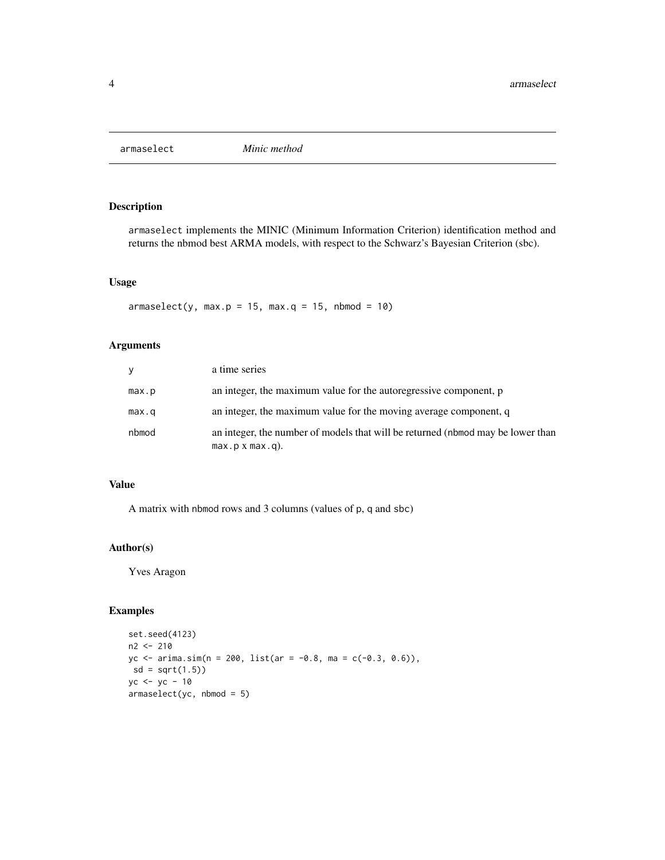<span id="page-3-0"></span>

armaselect implements the MINIC (Minimum Information Criterion) identification method and returns the nbmod best ARMA models, with respect to the Schwarz's Bayesian Criterion (sbc).

#### Usage

 $armaselect(y, max.p = 15, max.q = 15, nbmod = 10)$ 

## Arguments

| y     | a time series                                                                                         |
|-------|-------------------------------------------------------------------------------------------------------|
| max.p | an integer, the maximum value for the autoregressive component, p                                     |
| max.q | an integer, the maximum value for the moving average component, q                                     |
| nbmod | an integer, the number of models that will be returned (nbmod may be lower than<br>$max.p x max.q$ ). |

#### Value

A matrix with nbmod rows and 3 columns (values of p, q and sbc)

#### Author(s)

Yves Aragon

```
set.seed(4123)
n2 <- 210
yc <- arima.sim(n = 200, list(ar = -0.8, ma = c(-0.3, 0.6)),
sd = sqrt(1.5)yc < - yc - 10armaselect(yc, nbmod = 5)
```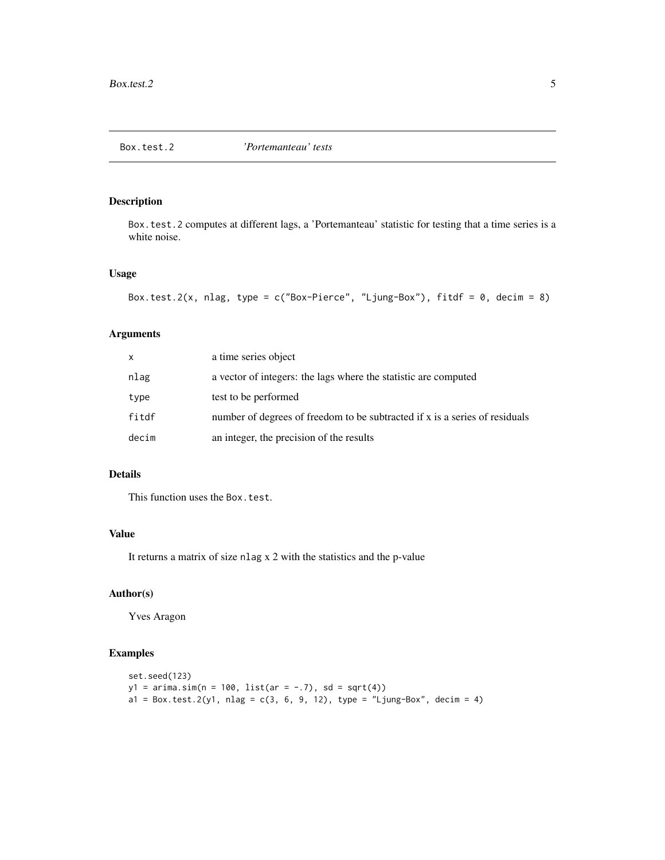<span id="page-4-0"></span>

Box.test.2 computes at different lags, a 'Portemanteau' statistic for testing that a time series is a white noise.

## Usage

```
Box.test.2(x, nlag, type = c("Box-Pierre", "Ljung-Box"), fitdf = 0, decim = 8)
```
## Arguments

| X     | a time series object                                                        |
|-------|-----------------------------------------------------------------------------|
| nlag  | a vector of integers: the lags where the statistic are computed             |
| type  | test to be performed                                                        |
| fitdf | number of degrees of freedom to be subtracted if x is a series of residuals |
| decim | an integer, the precision of the results                                    |

## Details

This function uses the Box.test.

## Value

It returns a matrix of size nlag x 2 with the statistics and the p-value

## Author(s)

Yves Aragon

```
set.seed(123)
y1 = \arima.sim(n = 100, list(ar = -.7), sd = sqrt(4))a1 = Box.test.2(y1, nlag = c(3, 6, 9, 12), type = "Ljung-Box", decim = 4)
```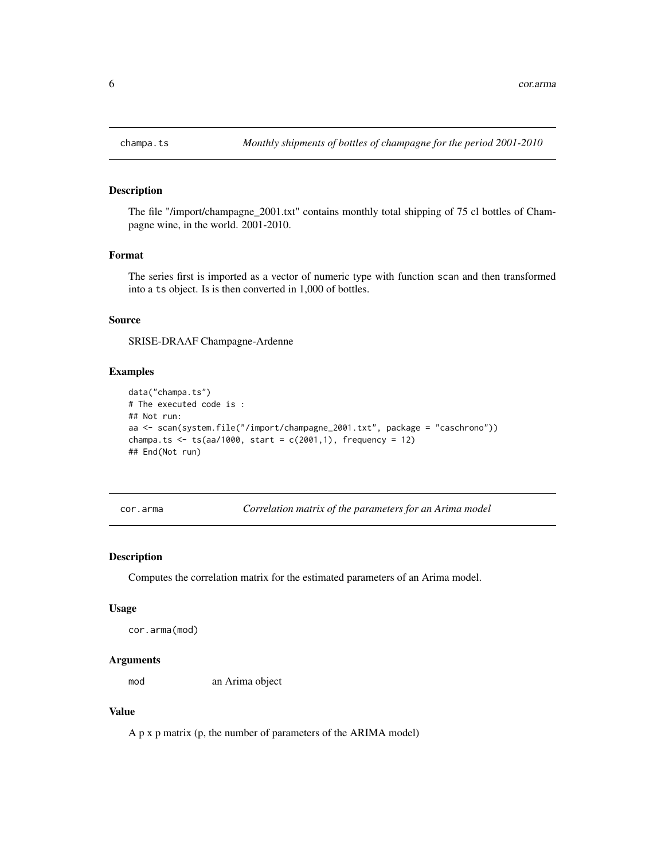The file "/import/champagne\_2001.txt" contains monthly total shipping of 75 cl bottles of Champagne wine, in the world. 2001-2010.

#### Format

The series first is imported as a vector of numeric type with function scan and then transformed into a ts object. Is is then converted in 1,000 of bottles.

#### Source

SRISE-DRAAF Champagne-Ardenne

#### Examples

```
data("champa.ts")
# The executed code is :
## Not run:
aa <- scan(system.file("/import/champagne_2001.txt", package = "caschrono"))
champa.ts \leq ts(aa/1000, start = c(2001,1), frequency = 12)
## End(Not run)
```
cor.arma *Correlation matrix of the parameters for an Arima model*

## Description

Computes the correlation matrix for the estimated parameters of an Arima model.

#### Usage

```
cor.arma(mod)
```
#### Arguments

mod an Arima object

## Value

A p x p matrix (p, the number of parameters of the ARIMA model)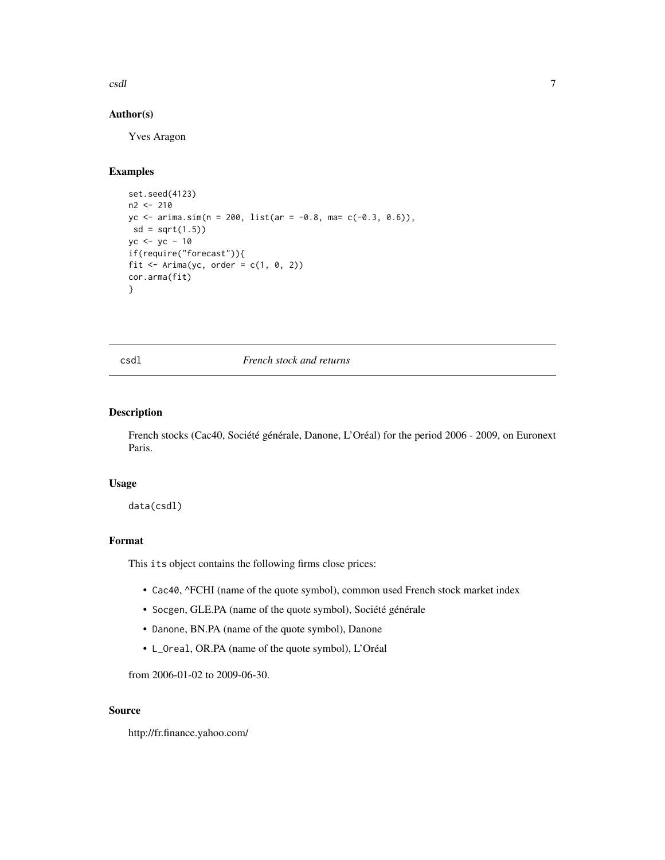<span id="page-6-0"></span>csdl and the contract of the contract of the contract of the contract of the contract of the contract of the contract of the contract of the contract of the contract of the contract of the contract of the contract of the c

## Author(s)

Yves Aragon

#### Examples

```
set.seed(4123)
n2 <- 210
yc <- arima.sim(n = 200, list(ar = -0.8, ma= c(-0.3, 0.6)),
 sd = sqrt(1.5)yc <- yc - 10
if(require("forecast")){
fit \le Arima(yc, order = c(1, 0, 2))
cor.arma(fit)
}
```
#### csdl *French stock and returns*

## Description

French stocks (Cac40, Société générale, Danone, L'Oréal) for the period 2006 - 2009, on Euronext Paris.

## Usage

data(csdl)

#### Format

This its object contains the following firms close prices:

- Cac40, ^FCHI (name of the quote symbol), common used French stock market index
- Socgen, GLE.PA (name of the quote symbol), Société générale
- Danone, BN.PA (name of the quote symbol), Danone
- L\_Oreal, OR.PA (name of the quote symbol), L'Oréal

from 2006-01-02 to 2009-06-30.

## Source

http://fr.finance.yahoo.com/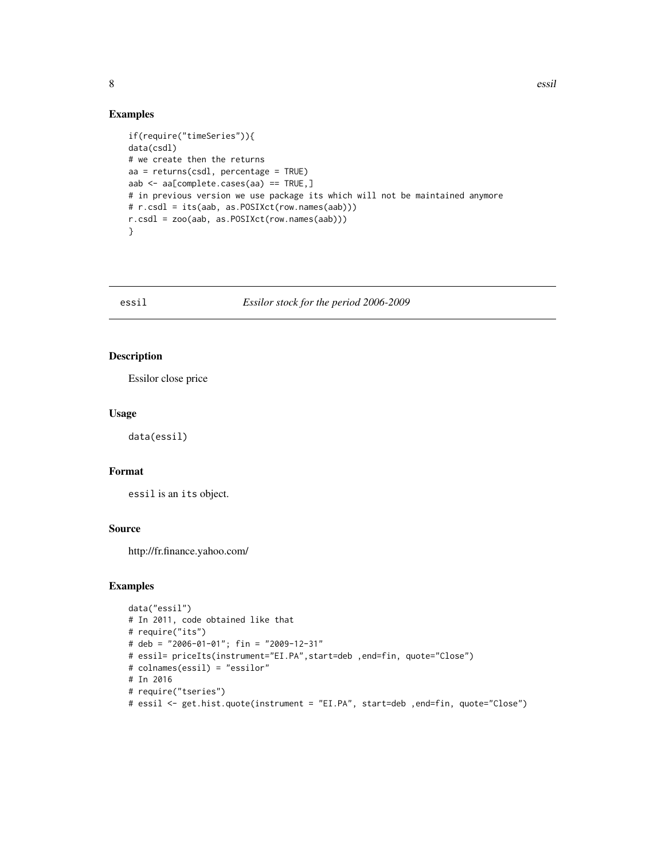#### Examples

```
if(require("timeSeries")){
data(csdl)
# we create then the returns
aa = returns(csdl, percentage = TRUE)
aab <- aa[complete.cases(aa) == TRUE,]
# in previous version we use package its which will not be maintained anymore
# r.csdl = its(aab, as.POSIXct(row.names(aab)))
r.csdl = zoo(aab, as.POSIXct(row.names(aab)))
}
```
essil *Essilor stock for the period 2006-2009*

#### Description

Essilor close price

## Usage

data(essil)

#### Format

essil is an its object.

#### Source

http://fr.finance.yahoo.com/

```
data("essil")
# In 2011, code obtained like that
# require("its")
# deb = "2006-01-01"; fin = "2009-12-31"
# essil= priceIts(instrument="EI.PA",start=deb ,end=fin, quote="Close")
# colnames(essil) = "essilor"
# In 2016
# require("tseries")
# essil <- get.hist.quote(instrument = "EI.PA", start=deb ,end=fin, quote="Close")
```
<span id="page-7-0"></span>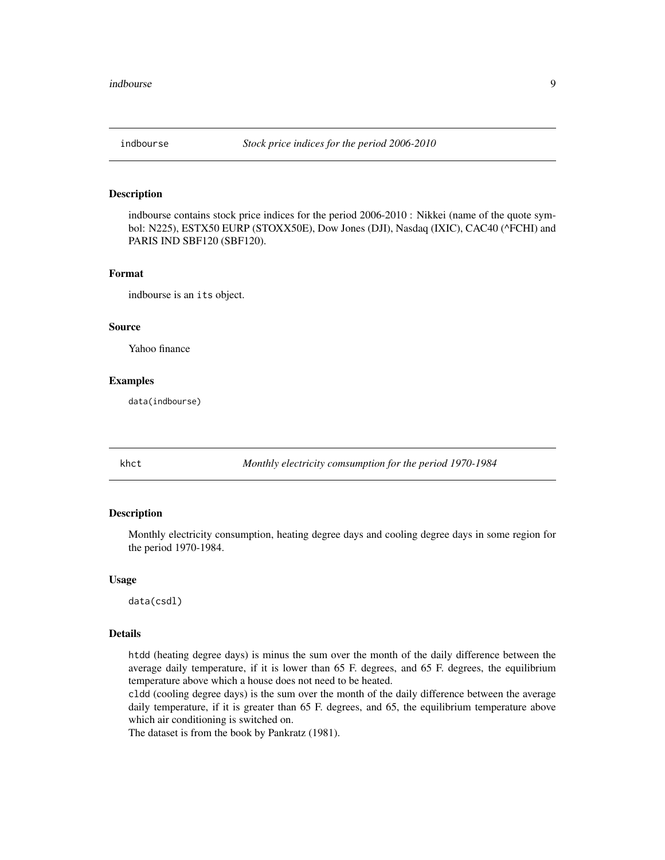<span id="page-8-0"></span>

indbourse contains stock price indices for the period 2006-2010 : Nikkei (name of the quote symbol: N225), ESTX50 EURP (STOXX50E), Dow Jones (DJI), Nasdaq (IXIC), CAC40 (^FCHI) and PARIS IND SBF120 (SBF120).

#### Format

indbourse is an its object.

#### Source

Yahoo finance

#### Examples

data(indbourse)

khct *Monthly electricity comsumption for the period 1970-1984*

## Description

Monthly electricity consumption, heating degree days and cooling degree days in some region for the period 1970-1984.

#### Usage

data(csdl)

#### Details

htdd (heating degree days) is minus the sum over the month of the daily difference between the average daily temperature, if it is lower than 65 F. degrees, and 65 F. degrees, the equilibrium temperature above which a house does not need to be heated.

cldd (cooling degree days) is the sum over the month of the daily difference between the average daily temperature, if it is greater than 65 F. degrees, and 65, the equilibrium temperature above which air conditioning is switched on.

The dataset is from the book by Pankratz (1981).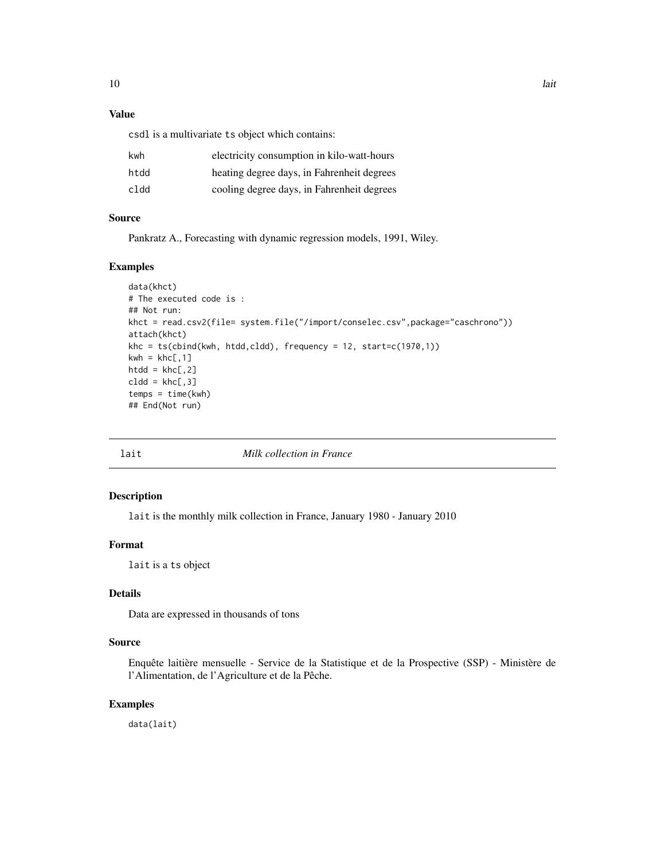## <span id="page-9-0"></span>Value

csdl is a multivariate ts object which contains:

| kwh  | electricity consumption in kilo-watt-hours |
|------|--------------------------------------------|
| htdd | heating degree days, in Fahrenheit degrees |
| cldd | cooling degree days, in Fahrenheit degrees |

#### Source

Pankratz A., Forecasting with dynamic regression models, 1991, Wiley.

#### Examples

```
data(khct)
# The executed code is :
## Not run:
khct = read.csv2(file= system.file("/import/conselec.csv",package="caschrono"))
attach(khct)
khc = ts(cbind(kwh, htdd,cldd), frequency = 12, start=c(1970,1))
kwh = khc[, 1]htdd = khc[, 2]c1dd = khc[, 3]temps = time(kwh)
## End(Not run)
```
lait *Milk collection in France*

## Description

lait is the monthly milk collection in France, January 1980 - January 2010

## Format

lait is a ts object

## Details

Data are expressed in thousands of tons

#### Source

Enquête laitière mensuelle - Service de la Statistique et de la Prospective (SSP) - Ministère de l'Alimentation, de l'Agriculture et de la Pêche.

## Examples

data(lait)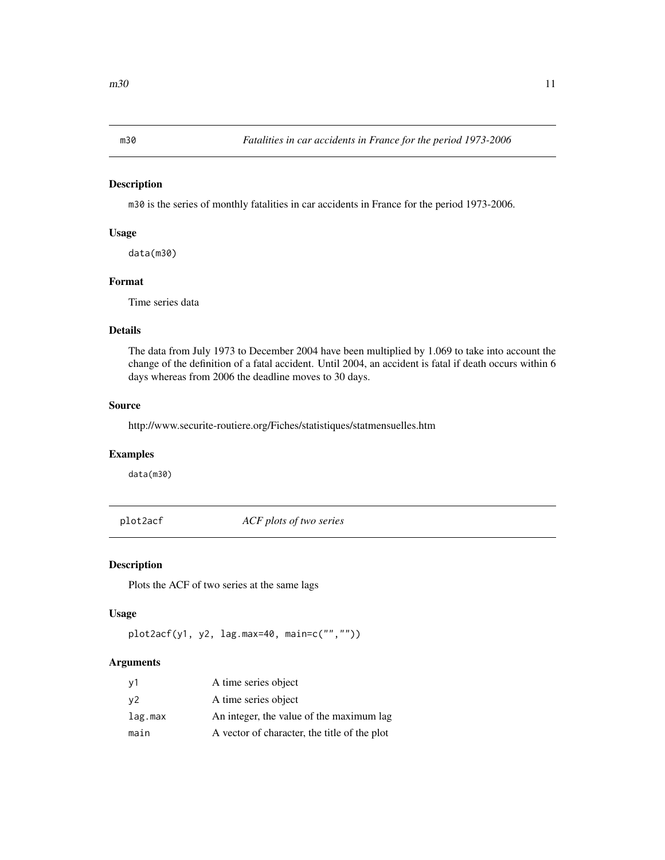<span id="page-10-0"></span>

m30 is the series of monthly fatalities in car accidents in France for the period 1973-2006.

## Usage

data(m30)

## Format

Time series data

## Details

The data from July 1973 to December 2004 have been multiplied by 1.069 to take into account the change of the definition of a fatal accident. Until 2004, an accident is fatal if death occurs within 6 days whereas from 2006 the deadline moves to 30 days.

## Source

http://www.securite-routiere.org/Fiches/statistiques/statmensuelles.htm

## Examples

data(m30)

plot2acf *ACF plots of two series*

#### Description

Plots the ACF of two series at the same lags

#### Usage

```
plot2acf(y1, y2, lag.max=40, main=c("",""))
```
## Arguments

| v <sub>1</sub> | A time series object                         |
|----------------|----------------------------------------------|
| v2             | A time series object                         |
| lag.max        | An integer, the value of the maximum lag     |
| main           | A vector of character, the title of the plot |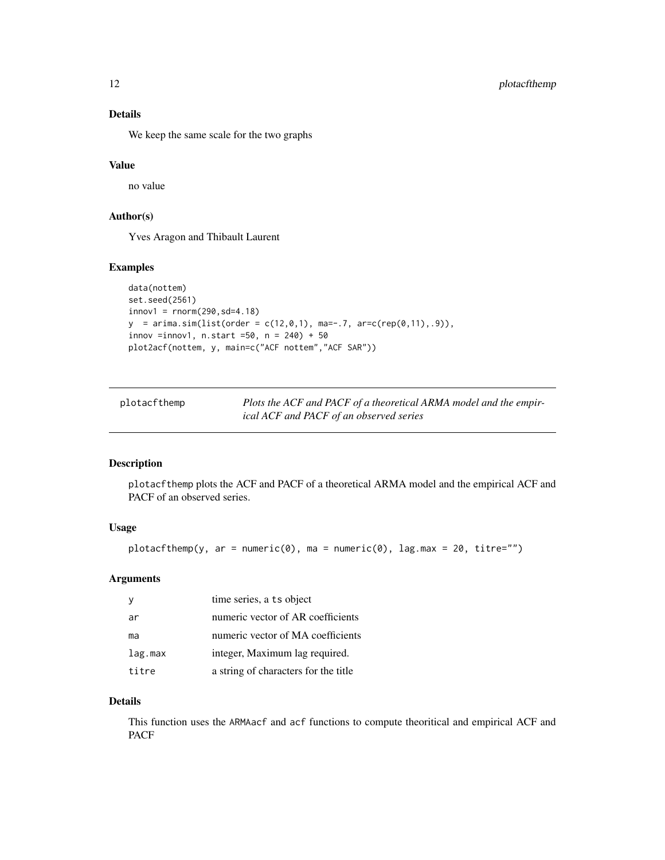## <span id="page-11-0"></span>Details

We keep the same scale for the two graphs

## Value

no value

## Author(s)

Yves Aragon and Thibault Laurent

## Examples

```
data(nottem)
set.seed(2561)
innov1 = rnorm(290, sd=4.18)y = \text{arima.sim}(list(\text{order} = c(12, 0, 1), \text{ma} = -.7, \text{arc}(rep(0, 11), .9)),innov =innov1, n.start =50, n = 240 + 50plot2acf(nottem, y, main=c("ACF nottem","ACF SAR"))
```

| plotacfthemp | Plots the ACF and PACF of a theoretical ARMA model and the empir- |
|--------------|-------------------------------------------------------------------|
|              | ical ACF and PACF of an observed series                           |

## Description

plotacfthemp plots the ACF and PACF of a theoretical ARMA model and the empirical ACF and PACF of an observed series.

#### Usage

```
plotacfthemp(y, ar = numeric(0), ma = numeric(0), lag.max = 20, titre="")
```
## Arguments

|         | time series, a ts object             |
|---------|--------------------------------------|
| ar      | numeric vector of AR coefficients    |
| ma      | numeric vector of MA coefficients    |
| lag.max | integer, Maximum lag required.       |
| titre   | a string of characters for the title |

## Details

This function uses the ARMAacf and acf functions to compute theoritical and empirical ACF and PACF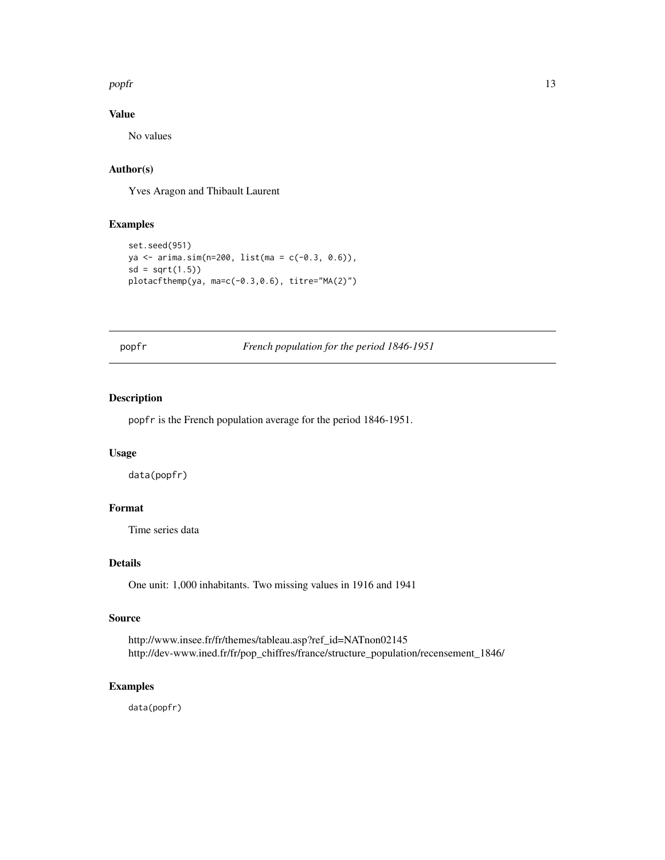#### <span id="page-12-0"></span>popfr and the contract of the contract of the contract of the contract of the contract of the contract of the contract of the contract of the contract of the contract of the contract of the contract of the contract of the

## Value

No values

## Author(s)

Yves Aragon and Thibault Laurent

## Examples

```
set.seed(951)
ya <- arima.sim(n=200, list(ma = c(-0.3, 0.6)),
sd = sqrt(1.5)plotacfthemp(ya, ma=c(-0.3,0.6), titre="MA(2)")
```
popfr *French population for the period 1846-1951*

#### Description

popfr is the French population average for the period 1846-1951.

## Usage

data(popfr)

## Format

Time series data

## Details

One unit: 1,000 inhabitants. Two missing values in 1916 and 1941

#### Source

http://www.insee.fr/fr/themes/tableau.asp?ref\_id=NATnon02145 http://dev-www.ined.fr/fr/pop\_chiffres/france/structure\_population/recensement\_1846/

## Examples

data(popfr)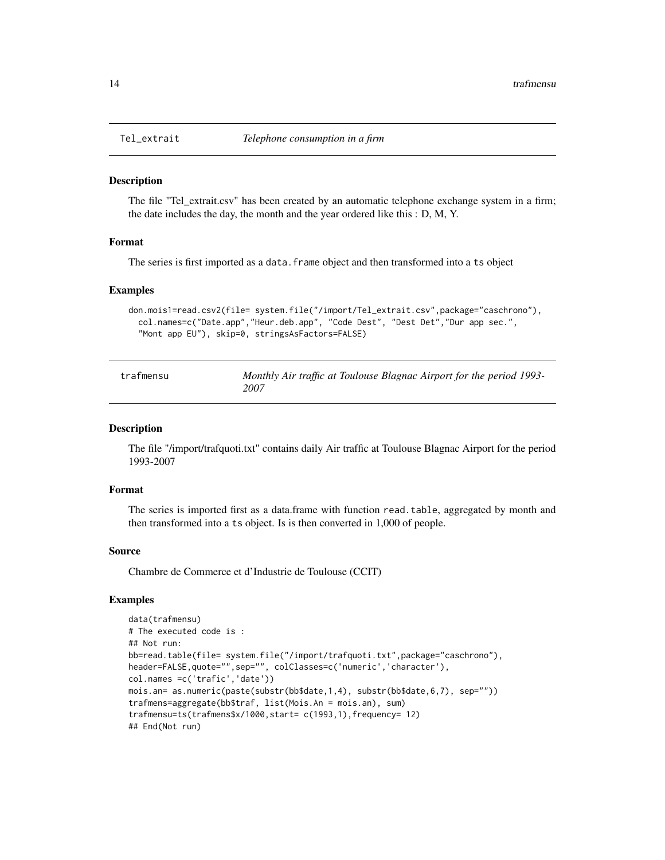<span id="page-13-0"></span>

The file "Tel\_extrait.csv" has been created by an automatic telephone exchange system in a firm; the date includes the day, the month and the year ordered like this : D, M, Y.

#### Format

The series is first imported as a data. frame object and then transformed into a ts object

#### Examples

```
don.mois1=read.csv2(file= system.file("/import/Tel_extrait.csv",package="caschrono"),
 col.names=c("Date.app","Heur.deb.app", "Code Dest", "Dest Det","Dur app sec.",
  "Mont app EU"), skip=0, stringsAsFactors=FALSE)
```

| trafmensu | Monthly Air traffic at Toulouse Blagnac Airport for the period 1993- |
|-----------|----------------------------------------------------------------------|
|           | 2007                                                                 |

#### Description

The file "/import/trafquoti.txt" contains daily Air traffic at Toulouse Blagnac Airport for the period 1993-2007

#### Format

The series is imported first as a data.frame with function read.table, aggregated by month and then transformed into a ts object. Is is then converted in 1,000 of people.

#### Source

Chambre de Commerce et d'Industrie de Toulouse (CCIT)

```
data(trafmensu)
# The executed code is :
## Not run:
bb=read.table(file= system.file("/import/trafquoti.txt",package="caschrono"),
header=FALSE,quote="",sep="", colClasses=c('numeric','character'),
col.names =c('trafic','date'))
mois.an= as.numeric(paste(substr(bb$date,1,4), substr(bb$date,6,7), sep=""))
trafmens=aggregate(bb$traf, list(Mois.An = mois.an), sum)
trafmensu=ts(trafmens$x/1000,start= c(1993,1),frequency= 12)
## End(Not run)
```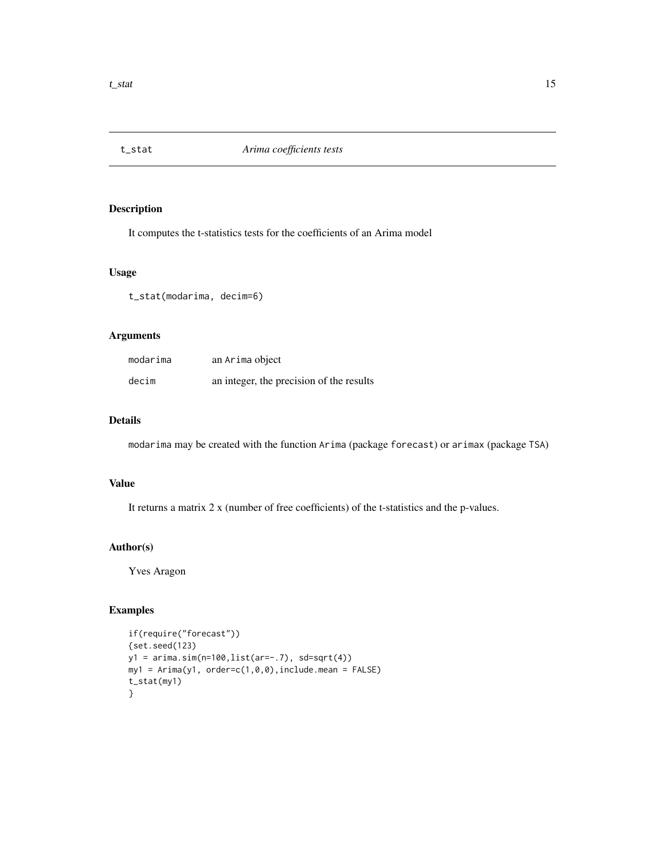<span id="page-14-0"></span>

It computes the t-statistics tests for the coefficients of an Arima model

#### Usage

t\_stat(modarima, decim=6)

## Arguments

| modarima | an Arima object                          |
|----------|------------------------------------------|
| decim    | an integer, the precision of the results |

## Details

modarima may be created with the function Arima (package forecast) or arimax (package TSA)

## Value

It returns a matrix 2 x (number of free coefficients) of the t-statistics and the p-values.

## Author(s)

Yves Aragon

```
if(require("forecast"))
{set.seed(123)
y1 = arima.sim(n=100,list(ar=-.7), sd=sqrt(4))
my1 = Arima(y1, order=c(1,0,0), include mean = FALSE)t_stat(my1)
}
```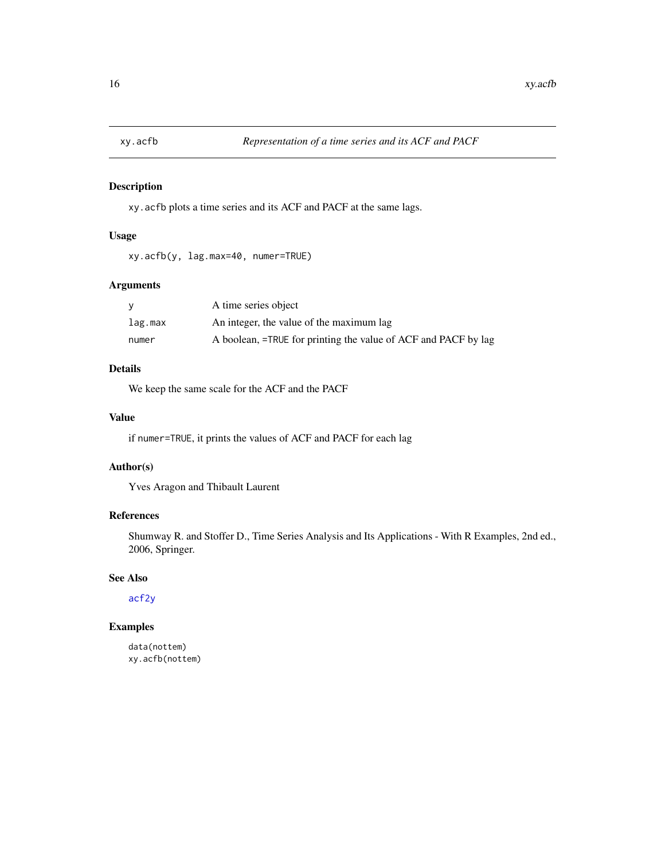<span id="page-15-1"></span><span id="page-15-0"></span>

xy.acfb plots a time series and its ACF and PACF at the same lags.

## Usage

xy.acfb(y, lag.max=40, numer=TRUE)

## Arguments

|         | A time series object                                           |
|---------|----------------------------------------------------------------|
| lag.max | An integer, the value of the maximum lag                       |
| numer   | A boolean, =TRUE for printing the value of ACF and PACF by lag |

## Details

We keep the same scale for the ACF and the PACF

## Value

if numer=TRUE, it prints the values of ACF and PACF for each lag

## Author(s)

Yves Aragon and Thibault Laurent

## References

Shumway R. and Stoffer D., Time Series Analysis and Its Applications - With R Examples, 2nd ed., 2006, Springer.

## See Also

[acf2y](#page-1-1)

```
data(nottem)
xy.acfb(nottem)
```